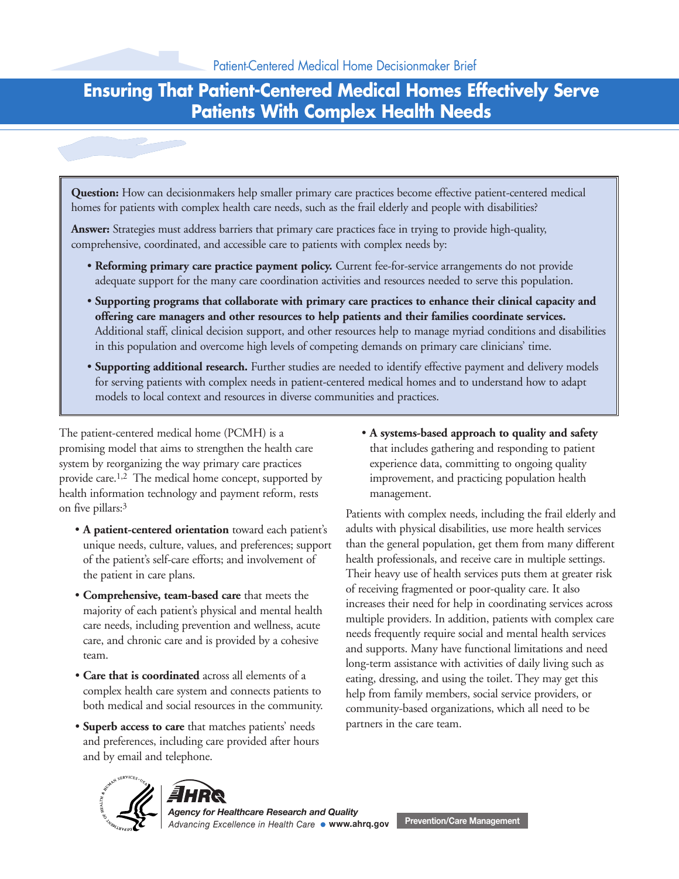# **Ensuring That Patient-Centered Medical Homes Effectively Serve Patients With Complex Health Needs**

**Question:** How can decisionmakers help smaller primary care practices become effective patient-centered medical homes for patients with complex health care needs, such as the frail elderly and people with disabilities?

**Answer:** Strategies must address barriers that primary care practices face in trying to provide high-quality, comprehensive, coordinated, and accessible care to patients with complex needs by:

- **Reforming primary care practice payment policy.** Current fee-for-service arrangements do not provide adequate support for the many care coordination activities and resources needed to serve this population.
- **Supporting programs that collaborate with primary care practices to enhance their clinical capacity and offering care managers and other resources to help patients and their families coordinate services.** Additional staff, clinical decision support, and other resources help to manage myriad conditions and disabilities in this population and overcome high levels of competing demands on primary care clinicians' time.
- **Supporting additional research.** Further studies are needed to identify effective payment and delivery models for serving patients with complex needs in patient-centered medical homes and to understand how to adapt models to local context and resources in diverse communities and practices.

The patient-centered medical home (PCMH) is a • **A systems-based approach to quality and safety** promising model that aims to strengthen the health care that includes gathering and responding to patient system by reorganizing the way primary care practices experience data, committing to ongoing quality provide care.<sup>1,2</sup> The medical home concept, supported by improvement, and practicing population health health information technology and payment reform, rests management.

- 
- 
- 
- **Superb access to care** that matches patients' needs partners in the care team. and preferences, including care provided after hours and by email and telephone.

on five pillars:3 Patients with complex needs, including the frail elderly and • **A patient-centered orientation** toward each patient's adults with physical disabilities, use more health services unique needs, culture, values, and preferences; support than the general population, get them from many different of the patient's self-care efforts; and involvement of health professionals, and receive care in multiple settings. the patient in care plans. Their heavy use of health services puts them at greater risk • **Comprehensive, team-based care** that meets the<br>majority of each patient's physical and mental health<br>care needs, including prevention and wellness, acute<br>care, and chronic care and is provided by a cohesive<br>team.<br>team. • Care that is coordinated across all elements of a eating, dressing, and using the toilet. They may get this complex health care system and connects patients to help from family members, social service providers, or both medical and social resources in the community. community-based organizations, which all need to be





*Agency for Healthcare Research and Quality* **Prevention/Care Management** *Advancing Excellence in Health Care* **www.ahrq.gov**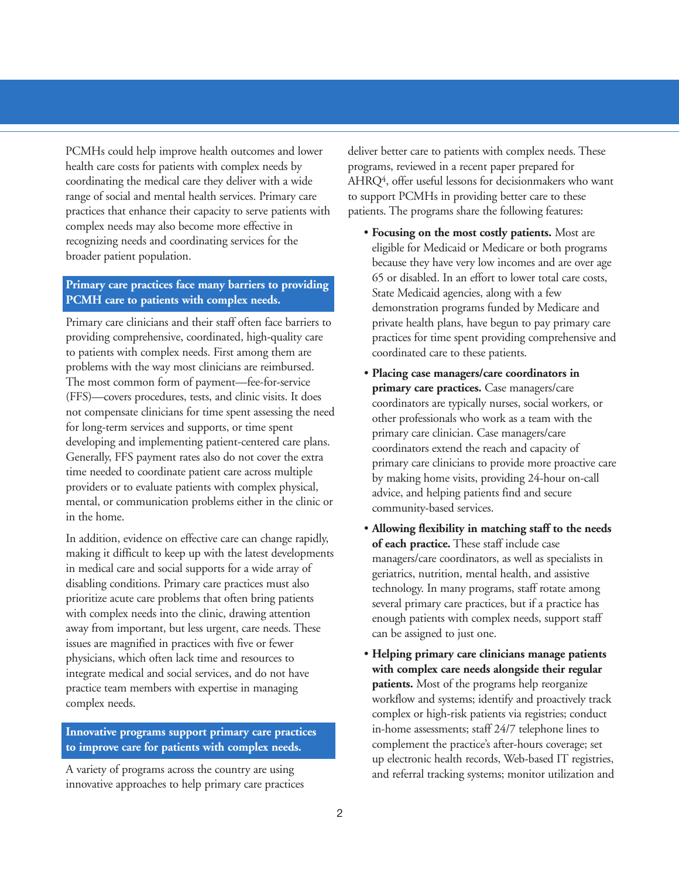PCMHs could help improve health outcomes and lower deliver better care to patients with complex needs. These health care costs for patients with complex needs by programs, reviewed in a recent paper prepared for range of social and mental health services. Primary care to support PCMHs in providing better care to these practices that enhance their capacity to serve patients with patients. The programs share the following features: complex needs may also become more effective in **• Focusing on the most costly patients.** Most are recognizing needs and coordinating services for the **• Focusing on the most costly patients.** Most are

Primary care clinicians and their staff often face barriers to private health plans, have begun to pay primary care providing comprehensive, coordinated, high-quality care practices for time spent providing comprehensive and to patients with complex needs. First among them are coordinated care to these patients. The most convolutions are reimbursed.<br>
The most common form of payment—fee-for-service<br>
(FFS)—covers procedures, tests, and clinic visits. It does<br>
for long-term services and supports, or time spent assessing the need<br>
for

making it difficult to keep up with the latest developments<br>
in medical care and social supports for a wide array of<br>
disabling conditions. Primary care practices must also<br>
prioritize acute care problems that often bring

A variety of programs across the country are using and referral tracking systems; monitor utilization and innovative approaches to help primary care practices

coordinating the medical care they deliver with a wide AHRQ4, offer useful lessons for decisionmakers who want

- recognizing needs and coordinating services for the eligible for Medicaid or Medicare or both programs<br>broader patient population. because they have very low incomes and are over age **Primary care practices face many barriers to providing** 65 or disabled. In an effort to lower total care costs,<br> **PCMH care to patients with complex needs.** State Medicaid agencies, along with a few demonstration programs
	-
	-
- **Innovative programs support primary care practices** in-home assessments; staff 24/7 telephone lines to **to improve care for patients with complex needs.** complement the practice's after-hours coverage; set up electronic health records, Web-based IT registries,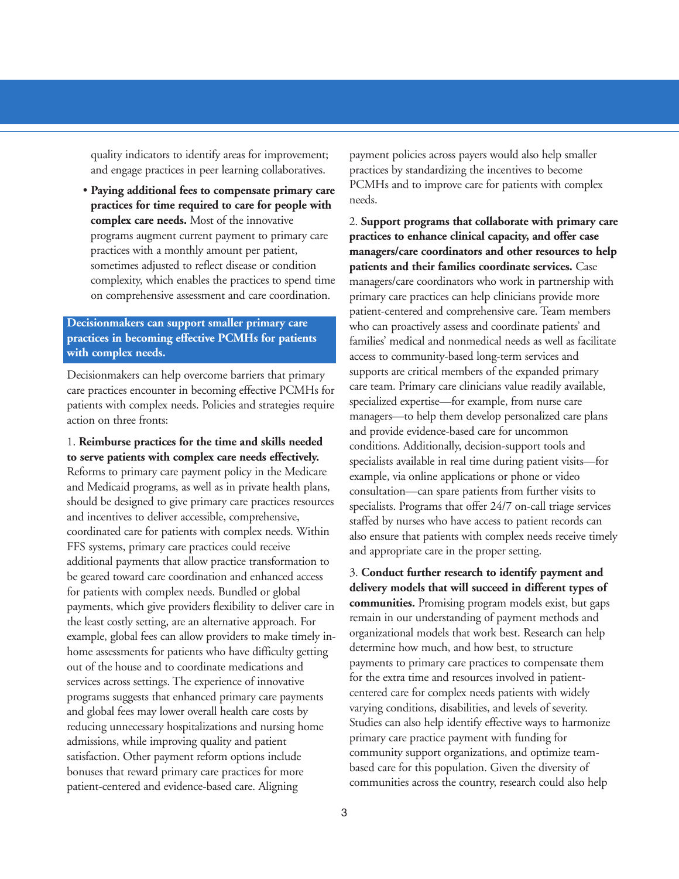**practices for time required to care for people with**

be geared toward care coordination and enhanced access<br>for patients with complex needs. Bundled or global<br>payments, which give providers flexibility to deliver care in<br>the least costly setting, are an alternative approach. out of the house and to coordinate medications and payments to primary care practices to compensate them<br>services across settings. The experience of innovative for the extra time and resources involved in patientservices across settings. The experience of innovative for the extra time and resources involved in patient-<br>programs suggests that enhanced primary care payments<br>and global fees may lower overall health care costs by<br>redu

quality indicators to identify areas for improvement; payment policies across payers would also help smaller and engage practices in peer learning collaboratives. practices by standardizing the incentives to become PCMHs and to improve care for patients with complex • **Paying additional fees to compensate primary care** needs.

**complex care needs.** Most of the innovative 2. **Support programs that collaborate with primary care** programs augment current payment to primary care **practices to enhance clinical capacity, and offer case** practices with a monthly amount per patient, **managers/care coordinators and other resources to help** sometimes adjusted to reflect disease or condition **patients and their families coordinate services.** Case complexity, which enables the practices to spend time managers/care coordinators who work in partnership with on comprehensive assessment and care coordination. primary care practices can help clinicians provide more **Decisionmakers can support smaller primary care**<br> **practices in becoming effective PCMHs for patients**<br>
who can proactively assess and coordinate patients' and<br>
families' medical and nonmedical needs as well as facilitate access to community-based long-term services and Decisionmakers can help overcome barriers that primary supports are critical members of the expanded primary care practices encounter in becoming effective PCMHs for care team. Primary care clinicians value readily availab care practices encounter in becoming effective PCMHs for<br>patients with complex needs. Policies and strategies require<br>action on three fronts:<br>action on three fronts:<br>action on three fronts:<br>action on three fronts:<br>action o 1. **Reimburse practices for the time and skills needed**<br> **Exerce particular to serve partients with complex care needs effectively.**<br>
Reforms to primary care payment policy in the Medicare<br>
and Medicaid programs, as well a